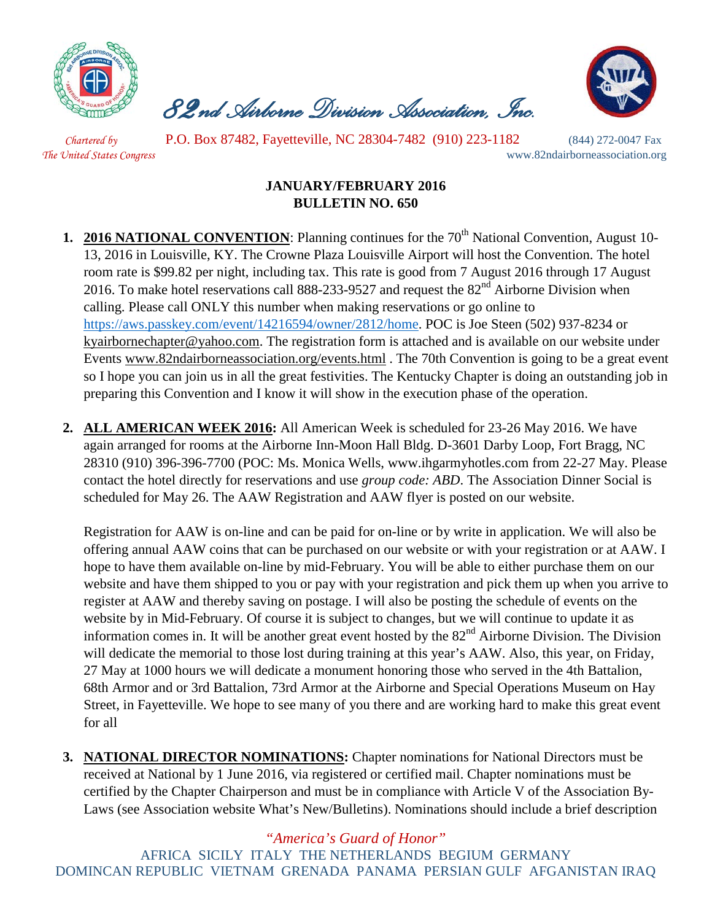

 *82nd Airborne Division Association, Inc.* 



*Chartered by* P.O. Box 87482, Fayetteville, NC 28304-7482 (910) 223-1182 (844) 272-0047 Fax *The United States Congress* www.82ndairborneassociation.org

## **JANUARY/FEBRUARY 2016 BULLETIN NO. 650**

- **1. 2016 NATIONAL CONVENTION**: Planning continues for the 70<sup>th</sup> National Convention, August 10-13, 2016 in Louisville, KY. The Crowne Plaza Louisville Airport will host the Convention. The hotel room rate is \$99.82 per night, including tax. This rate is good from 7 August 2016 through 17 August 2016. To make hotel reservations call 888-233-9527 and request the  $82<sup>nd</sup>$  Airborne Division when calling. Please call ONLY this number when making reservations or go online to [https://aws.passkey.com/event/14216594/owner/2812/home.](https://aws.passkey.com/event/14216594/owner/2812/home) POC is Joe Steen (502) 937-8234 or [kyairbornechapter@yahoo.com.](mailto:kyairbornechapter@yahoo.com) The registration form is attached and is available on our website under Events [www.82ndairborneassociation.org/events.html](http://www.82ndairborneassociation.org/events.html) . The 70th Convention is going to be a great event so I hope you can join us in all the great festivities. The Kentucky Chapter is doing an outstanding job in preparing this Convention and I know it will show in the execution phase of the operation.
- **2. ALL AMERICAN WEEK 2016:** All American Week is scheduled for 23-26 May 2016. We have again arranged for rooms at the Airborne Inn-Moon Hall Bldg. D-3601 Darby Loop, Fort Bragg, NC 28310 (910) 396-396-7700 (POC: Ms. Monica Wells, www.ihgarmyhotles.com from 22-27 May. Please contact the hotel directly for reservations and use *group code: ABD*. The Association Dinner Social is scheduled for May 26. The AAW Registration and AAW flyer is posted on our website.

Registration for AAW is on-line and can be paid for on-line or by write in application. We will also be offering annual AAW coins that can be purchased on our website or with your registration or at AAW. I hope to have them available on-line by mid-February. You will be able to either purchase them on our website and have them shipped to you or pay with your registration and pick them up when you arrive to register at AAW and thereby saving on postage. I will also be posting the schedule of events on the website by in Mid-February. Of course it is subject to changes, but we will continue to update it as information comes in. It will be another great event hosted by the  $82<sup>nd</sup>$  Airborne Division. The Division will dedicate the memorial to those lost during training at this year's AAW. Also, this year, on Friday, 27 May at 1000 hours we will dedicate a monument honoring those who served in the 4th Battalion, 68th Armor and or 3rd Battalion, 73rd Armor at the Airborne and Special Operations Museum on Hay Street, in Fayetteville. We hope to see many of you there and are working hard to make this great event for all

**3. NATIONAL DIRECTOR NOMINATIONS:** Chapter nominations for National Directors must be received at National by 1 June 2016, via registered or certified mail. Chapter nominations must be certified by the Chapter Chairperson and must be in compliance with Article V of the Association By-Laws (see Association website What's New/Bulletins). Nominations should include a brief description

*"America's Guard of Honor"*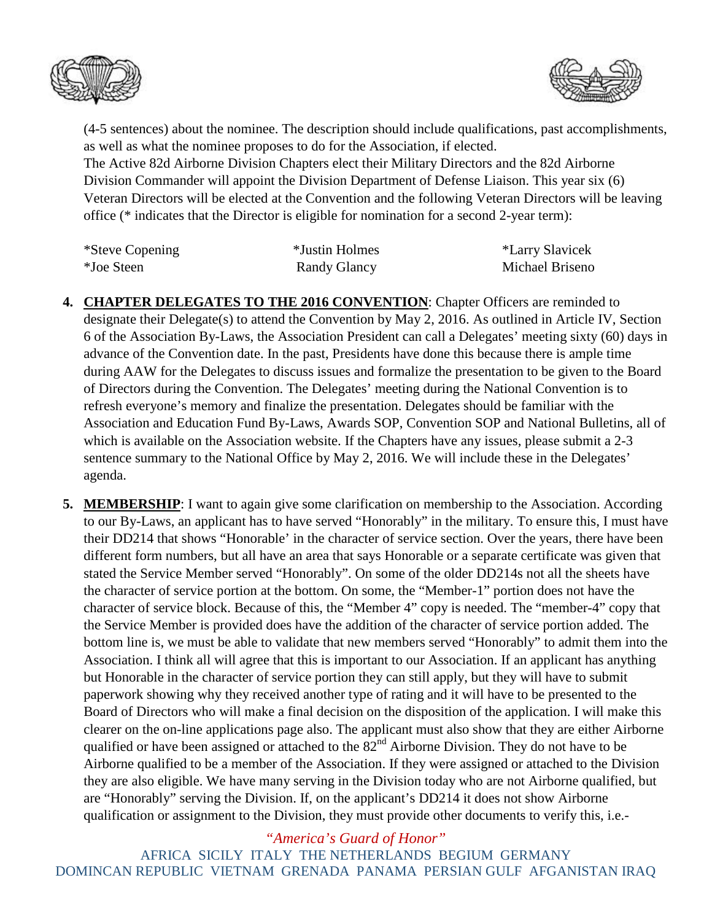



(4-5 sentences) about the nominee. The description should include qualifications, past accomplishments, as well as what the nominee proposes to do for the Association, if elected.

The Active 82d Airborne Division Chapters elect their Military Directors and the 82d Airborne Division Commander will appoint the Division Department of Defense Liaison. This year six (6) Veteran Directors will be elected at the Convention and the following Veteran Directors will be leaving office (\* indicates that the Director is eligible for nomination for a second 2-year term):

| *Steve Copening | *Justin Holmes | *Larry Slavicek |
|-----------------|----------------|-----------------|
| *Joe Steen      | Randy Glancy   | Michael Briseno |

- **4. CHAPTER DELEGATES TO THE 2016 CONVENTION**: Chapter Officers are reminded to designate their Delegate(s) to attend the Convention by May 2, 2016. As outlined in Article IV, Section 6 of the Association By-Laws, the Association President can call a Delegates' meeting sixty (60) days in advance of the Convention date. In the past, Presidents have done this because there is ample time during AAW for the Delegates to discuss issues and formalize the presentation to be given to the Board of Directors during the Convention. The Delegates' meeting during the National Convention is to refresh everyone's memory and finalize the presentation. Delegates should be familiar with the Association and Education Fund By-Laws, Awards SOP, Convention SOP and National Bulletins, all of which is available on the Association website. If the Chapters have any issues, please submit a 2-3 sentence summary to the National Office by May 2, 2016. We will include these in the Delegates' agenda.
- **5. MEMBERSHIP**: I want to again give some clarification on membership to the Association. According to our By-Laws, an applicant has to have served "Honorably" in the military. To ensure this, I must have their DD214 that shows "Honorable' in the character of service section. Over the years, there have been different form numbers, but all have an area that says Honorable or a separate certificate was given that stated the Service Member served "Honorably". On some of the older DD214s not all the sheets have the character of service portion at the bottom. On some, the "Member-1" portion does not have the character of service block. Because of this, the "Member 4" copy is needed. The "member-4" copy that the Service Member is provided does have the addition of the character of service portion added. The bottom line is, we must be able to validate that new members served "Honorably" to admit them into the Association. I think all will agree that this is important to our Association. If an applicant has anything but Honorable in the character of service portion they can still apply, but they will have to submit paperwork showing why they received another type of rating and it will have to be presented to the Board of Directors who will make a final decision on the disposition of the application. I will make this clearer on the on-line applications page also. The applicant must also show that they are either Airborne qualified or have been assigned or attached to the 82<sup>nd</sup> Airborne Division. They do not have to be Airborne qualified to be a member of the Association. If they were assigned or attached to the Division they are also eligible. We have many serving in the Division today who are not Airborne qualified, but are "Honorably" serving the Division. If, on the applicant's DD214 it does not show Airborne qualification or assignment to the Division, they must provide other documents to verify this, i.e.-

*"America's Guard of Honor"*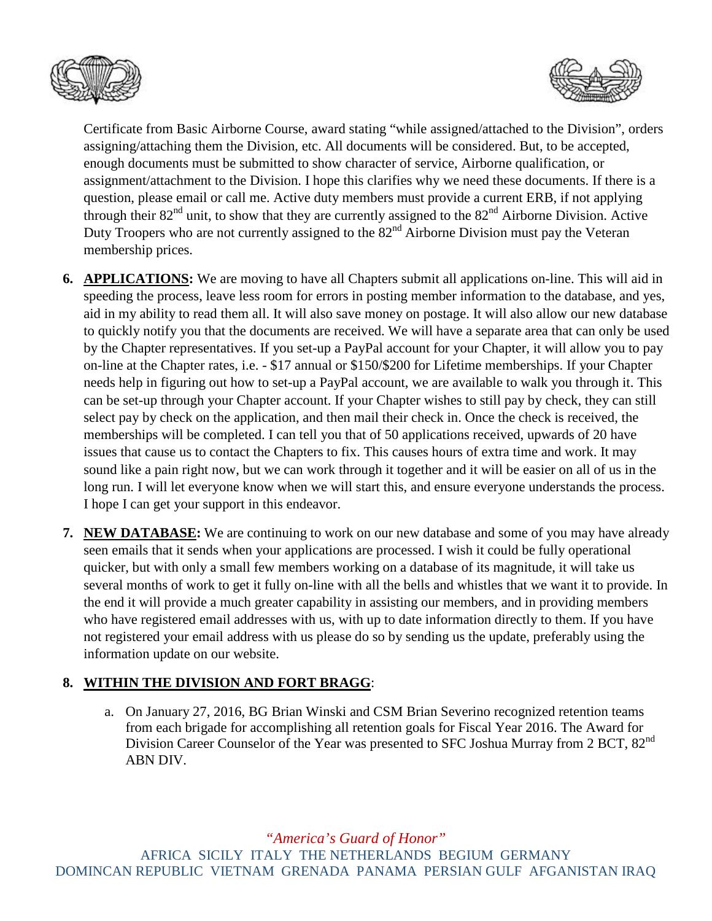



Certificate from Basic Airborne Course, award stating "while assigned/attached to the Division", orders assigning/attaching them the Division, etc. All documents will be considered. But, to be accepted, enough documents must be submitted to show character of service, Airborne qualification, or assignment/attachment to the Division. I hope this clarifies why we need these documents. If there is a question, please email or call me. Active duty members must provide a current ERB, if not applying through their 82nd unit, to show that they are currently assigned to the 82nd Airborne Division. Active Duty Troopers who are not currently assigned to the 82<sup>nd</sup> Airborne Division must pay the Veteran membership prices.

- **6. APPLICATIONS:** We are moving to have all Chapters submit all applications on-line. This will aid in speeding the process, leave less room for errors in posting member information to the database, and yes, aid in my ability to read them all. It will also save money on postage. It will also allow our new database to quickly notify you that the documents are received. We will have a separate area that can only be used by the Chapter representatives. If you set-up a PayPal account for your Chapter, it will allow you to pay on-line at the Chapter rates, i.e. - \$17 annual or \$150/\$200 for Lifetime memberships. If your Chapter needs help in figuring out how to set-up a PayPal account, we are available to walk you through it. This can be set-up through your Chapter account. If your Chapter wishes to still pay by check, they can still select pay by check on the application, and then mail their check in. Once the check is received, the memberships will be completed. I can tell you that of 50 applications received, upwards of 20 have issues that cause us to contact the Chapters to fix. This causes hours of extra time and work. It may sound like a pain right now, but we can work through it together and it will be easier on all of us in the long run. I will let everyone know when we will start this, and ensure everyone understands the process. I hope I can get your support in this endeavor.
- **7. NEW DATABASE:** We are continuing to work on our new database and some of you may have already seen emails that it sends when your applications are processed. I wish it could be fully operational quicker, but with only a small few members working on a database of its magnitude, it will take us several months of work to get it fully on-line with all the bells and whistles that we want it to provide. In the end it will provide a much greater capability in assisting our members, and in providing members who have registered email addresses with us, with up to date information directly to them. If you have not registered your email address with us please do so by sending us the update, preferably using the information update on our website.

## **8. WITHIN THE DIVISION AND FORT BRAGG**:

a. On January 27, 2016, BG Brian Winski and CSM Brian Severino recognized retention teams from each brigade for accomplishing all retention goals for Fiscal Year 2016. The Award for Division Career Counselor of the Year was presented to SFC Joshua Murray from 2 BCT, 82<sup>nd</sup> ABN DIV.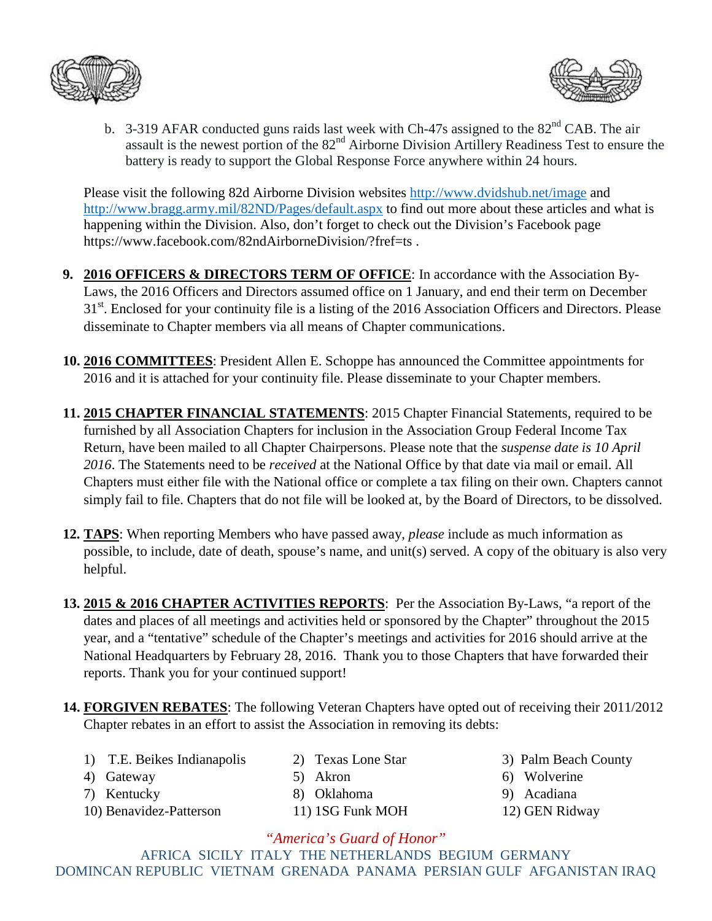



b. 3-319 AFAR conducted guns raids last week with Ch-47s assigned to the 82<sup>nd</sup> CAB. The air assault is the newest portion of the  $82<sup>nd</sup>$  Airborne Division Artillery Readiness Test to ensure the battery is ready to support the Global Response Force anywhere within 24 hours.

Please visit the following 82d Airborne Division websites<http://www.dvidshub.net/image> and <http://www.bragg.army.mil/82ND/Pages/default.aspx> to find out more about these articles and what is happening within the Division. Also, don't forget to check out the Division's Facebook page https://www.facebook.com/82ndAirborneDivision/?fref=ts .

- **9. 2016 OFFICERS & DIRECTORS TERM OF OFFICE**: In accordance with the Association By-Laws, the 2016 Officers and Directors assumed office on 1 January, and end their term on December 31<sup>st</sup>. Enclosed for your continuity file is a listing of the 2016 Association Officers and Directors. Please disseminate to Chapter members via all means of Chapter communications.
- **10. 2016 COMMITTEES**: President Allen E. Schoppe has announced the Committee appointments for 2016 and it is attached for your continuity file. Please disseminate to your Chapter members.
- **11. 2015 CHAPTER FINANCIAL STATEMENTS**: 2015 Chapter Financial Statements, required to be furnished by all Association Chapters for inclusion in the Association Group Federal Income Tax Return, have been mailed to all Chapter Chairpersons. Please note that the *suspense date is 10 April 2016*. The Statements need to be *received* at the National Office by that date via mail or email. All Chapters must either file with the National office or complete a tax filing on their own. Chapters cannot simply fail to file. Chapters that do not file will be looked at, by the Board of Directors, to be dissolved.
- **12. TAPS**: When reporting Members who have passed away, *please* include as much information as possible, to include, date of death, spouse's name, and unit(s) served. A copy of the obituary is also very helpful.
- **13. 2015 & 2016 CHAPTER ACTIVITIES REPORTS**: Per the Association By-Laws, "a report of the dates and places of all meetings and activities held or sponsored by the Chapter" throughout the 2015 year, and a "tentative" schedule of the Chapter's meetings and activities for 2016 should arrive at the National Headquarters by February 28, 2016. Thank you to those Chapters that have forwarded their reports. Thank you for your continued support!
- **14. FORGIVEN REBATES**: The following Veteran Chapters have opted out of receiving their 2011/2012 Chapter rebates in an effort to assist the Association in removing its debts:
	- 1) T.E. Beikes Indianapolis 2) Texas Lone Star 3) Palm Beach County
	-

- 
- 10) Benavidez-Patterson 11) 1SG Funk MOH 12) GEN Ridway
- 7) Kentucky 8) Oklahoma 9) Acadiana
- 
- 4) Gateway 5) Akron 6) Wolverine
	-
	-

*"America's Guard of Honor"*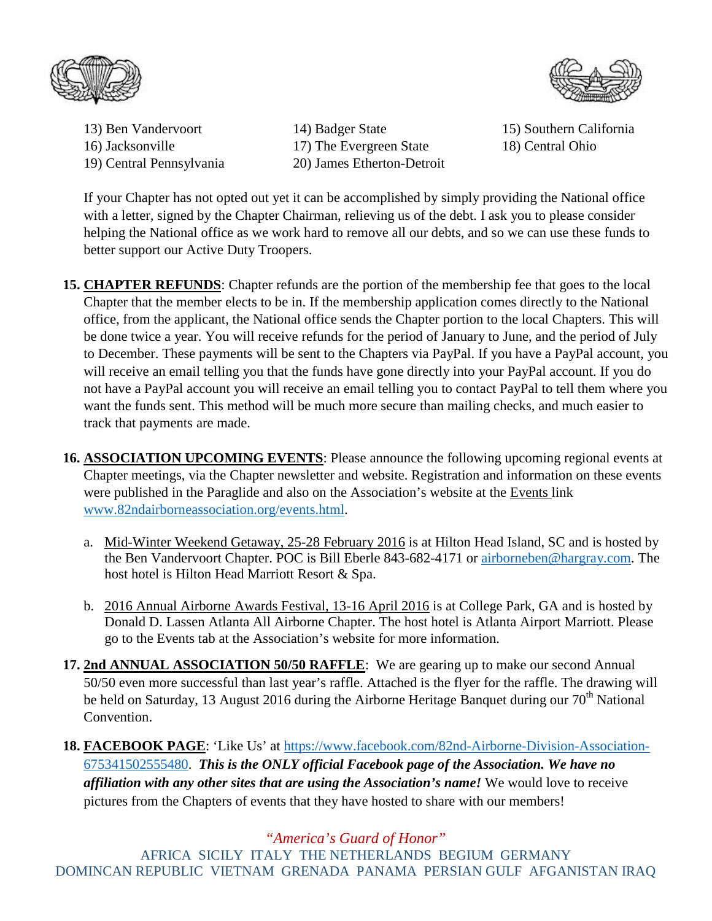



14) Badger State 15) Southern California 16) Jacksonville 17) The Evergreen State 18) Central Ohio 19) Central Pennsylvania 20) James Etherton-Detroit

If your Chapter has not opted out yet it can be accomplished by simply providing the National office with a letter, signed by the Chapter Chairman, relieving us of the debt. I ask you to please consider helping the National office as we work hard to remove all our debts, and so we can use these funds to better support our Active Duty Troopers.

- **15. CHAPTER REFUNDS:** Chapter refunds are the portion of the membership fee that goes to the local Chapter that the member elects to be in. If the membership application comes directly to the National office, from the applicant, the National office sends the Chapter portion to the local Chapters. This will be done twice a year. You will receive refunds for the period of January to June, and the period of July to December. These payments will be sent to the Chapters via PayPal. If you have a PayPal account, you will receive an email telling you that the funds have gone directly into your PayPal account. If you do not have a PayPal account you will receive an email telling you to contact PayPal to tell them where you want the funds sent. This method will be much more secure than mailing checks, and much easier to track that payments are made.
- **16. ASSOCIATION UPCOMING EVENTS**: Please announce the following upcoming regional events at Chapter meetings, via the Chapter newsletter and website. Registration and information on these events were published in the Paraglide and also on the Association's website at the Events link [www.82ndairborneassociation.org/events.html.](http://www.82ndairborneassociation.org/events.html)
	- a. Mid-Winter Weekend Getaway, 25-28 February 2016 is at Hilton Head Island, SC and is hosted by the Ben Vandervoort Chapter. POC is Bill Eberle 843-682-4171 or [airborneben@hargray.com.](mailto:airborneben@hargray.com) The host hotel is Hilton Head Marriott Resort & Spa.
	- b. 2016 Annual Airborne Awards Festival, 13-16 April 2016 is at College Park, GA and is hosted by Donald D. Lassen Atlanta All Airborne Chapter. The host hotel is Atlanta Airport Marriott. Please go to the Events tab at the Association's website for more information.
- **17. 2nd ANNUAL ASSOCIATION 50/50 RAFFLE**: We are gearing up to make our second Annual 50/50 even more successful than last year's raffle. Attached is the flyer for the raffle. The drawing will be held on Saturday, 13 August 2016 during the Airborne Heritage Banquet during our 70<sup>th</sup> National Convention.
- **18. FACEBOOK PAGE**: 'Like Us' at [https://www.facebook.com/82nd-Airborne-Division-Association-](https://www.facebook.com/82nd-Airborne-Division-Association-675341502555480)[675341502555480.](https://www.facebook.com/82nd-Airborne-Division-Association-675341502555480) *This is the ONLY official Facebook page of the Association. We have no affiliation with any other sites that are using the Association's name!* We would love to receive pictures from the Chapters of events that they have hosted to share with our members!

*"America's Guard of Honor"*